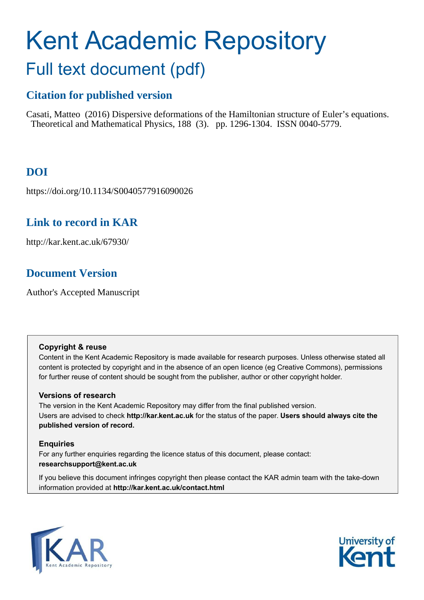# Kent Academic Repository Full text document (pdf)

# **Citation for published version**

Casati, Matteo (2016) Dispersive deformations of the Hamiltonian structure of Euler's equations. Theoretical and Mathematical Physics, 188 (3). pp. 1296-1304. ISSN 0040-5779.

# **DOI**

https://doi.org/10.1134/S0040577916090026

# **Link to record in KAR**

http://kar.kent.ac.uk/67930/

# **Document Version**

Author's Accepted Manuscript

## **Copyright & reuse**

Content in the Kent Academic Repository is made available for research purposes. Unless otherwise stated all content is protected by copyright and in the absence of an open licence (eg Creative Commons), permissions for further reuse of content should be sought from the publisher, author or other copyright holder.

## **Versions of research**

The version in the Kent Academic Repository may differ from the final published version. Users are advised to check **http://kar.kent.ac.uk** for the status of the paper. **Users should always cite the published version of record.**

## **Enquiries**

For any further enquiries regarding the licence status of this document, please contact: **researchsupport@kent.ac.uk**

If you believe this document infringes copyright then please contact the KAR admin team with the take-down information provided at **http://kar.kent.ac.uk/contact.html**



<span id="page-0-0"></span>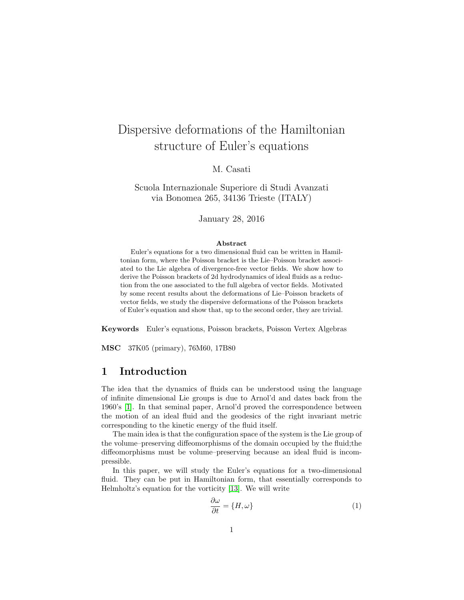# Dispersive deformations of the Hamiltonian structure of Euler's equations

M. Casati

Scuola Internazionale Superiore di Studi Avanzati via Bonomea 265, 34136 Trieste (ITALY)

January 28, 2016

#### <span id="page-1-0"></span>Abstract

Euler's equations for a two dimensional fluid can be written in Hamiltonian form, where the Poisson bracket is the Lie–Poisson bracket associated to the Lie algebra of divergence-free vector fields. We show how to derive the Poisson brackets of 2d hydrodynamics of ideal fluids as a reduction from the one associated to the full algebra of vector fields. Motivated by some recent results about the deformations of Lie–Poisson brackets of vector fields, we study the dispersive deformations of the Poisson brackets of Euler's equation and show that, up to the second order, they are trivial.

Keywords Euler's equations, Poisson brackets, Poisson Vertex Algebras

MSC 37K05 (primary), 76M60, 17B80

## <span id="page-1-3"></span>1 Introduction

The idea that the dynamics of fluids can be understood using the language of infinite dimensional Lie groups is due to Arnol'd and dates back from the 1960's [\[1\]](#page-9-0). In that seminal paper, Arnol'd proved the correspondence between the motion of an ideal fluid and the geodesics of the right invariant metric corresponding to the kinetic energy of the fluid itself.

The main idea is that the configuration space of the system is the Lie group of the volume–preserving diffeomorphisms of the domain occupied by the fluid;the diffeomorphisms must be volume–preserving because an ideal fluid is incompressible.

<span id="page-1-2"></span>In this paper, we will study the Euler's equations for a two-dimensional fluid. They can be put in Hamiltonian form, that essentially corresponds to Helmholtz's equation for the vorticity [\[13\]](#page-10-0). We will write

<span id="page-1-1"></span>
$$
\frac{\partial \omega}{\partial t} = \{H, \omega\} \tag{1}
$$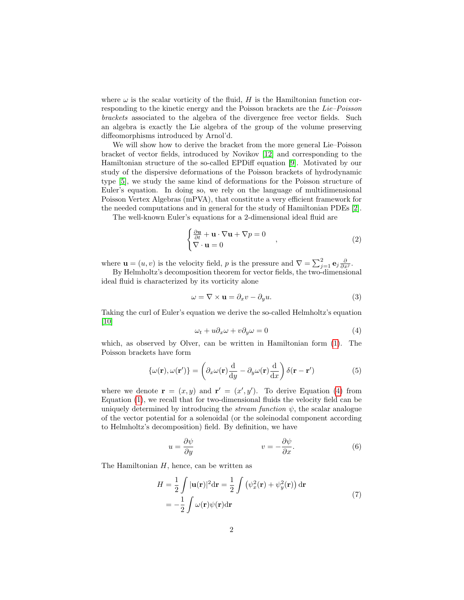where  $\omega$  is the scalar vorticity of the fluid, H is the Hamiltonian function corresponding to the kinetic energy and the Poisson brackets are the Lie–Poisson brackets associated to the algebra of the divergence free vector fields. Such an algebra is exactly the Lie algebra of the group of the volume preserving diffeomorphisms introduced by Arnol'd.

We will show how to derive the bracket from the more general Lie–Poisson bracket of vector fields, introduced by Novikov [\[12\]](#page-10-1) and corresponding to the Hamiltonian structure of the so-called EPDiff equation [\[9\]](#page-10-2). Motivated by our study of the dispersive deformations of the Poisson brackets of hydrodynamic type [\[5\]](#page-10-3), we study the same kind of deformations for the Poisson structure of Euler's equation. In doing so, we rely on the language of multidimensional Poisson Vertex Algebras (mPVA), that constitute a very efficient framework for the needed computations and in general for the study of Hamiltonian PDEs [\[2\]](#page-9-1).

The well-known Euler's equations for a 2-dimensional ideal fluid are

$$
\begin{cases} \frac{\partial \mathbf{u}}{\partial t} + \mathbf{u} \cdot \nabla \mathbf{u} + \nabla p = 0 \\ \nabla \cdot \mathbf{u} = 0 \end{cases} , \qquad (2)
$$

where  $\mathbf{u} = (u, v)$  is the velocity field, p is the pressure and  $\nabla = \sum_{j=1}^{2} \mathbf{e}_{j} \frac{\partial}{\partial x^{j}}$ .

By Helmholtz's decomposition theorem for vector fields, the two-dimensional ideal fluid is characterized by its vorticity alone

$$
\omega = \nabla \times \mathbf{u} = \partial_x v - \partial_y u. \tag{3}
$$

Taking the curl of Euler's equation we derive the so-called Helmholtz's equation [\[10\]](#page-10-4)

<span id="page-2-0"></span>
$$
\omega_t + u \partial_x \omega + v \partial_y \omega = 0 \tag{4}
$$

which, as observed by Olver, can be written in Hamiltonian form [\(1\)](#page-0-0). The Poisson brackets have form

$$
\{\omega(\mathbf{r}), \omega(\mathbf{r}')\} = \left(\partial_x \omega(\mathbf{r})\frac{d}{dy} - \partial_y \omega(\mathbf{r})\frac{d}{dx}\right)\delta(\mathbf{r} - \mathbf{r}')\tag{5}
$$

where we denote  $\mathbf{r} = (x, y)$  and  $\mathbf{r}' = (x', y')$ . To derive Equation [\(4\)](#page-1-0) from Equation [\(1\)](#page-0-0), we recall that for two-dimensional fluids the velocity field can be uniquely determined by introducing the *stream function*  $\psi$ , the scalar analogue of the vector potential for a solenoidal (or the soleinodal component according to Helmholtz's decomposition) field. By definition, we have

$$
u = \frac{\partial \psi}{\partial y} \qquad \qquad v = -\frac{\partial \psi}{\partial x}.
$$
 (6)

The Hamiltonian  $H$ , hence, can be written as

$$
H = \frac{1}{2} \int |\mathbf{u}(\mathbf{r})|^2 d\mathbf{r} = \frac{1}{2} \int (\psi_x^2(\mathbf{r}) + \psi_y^2(\mathbf{r})) d\mathbf{r}
$$
  
=  $-\frac{1}{2} \int \omega(\mathbf{r}) \psi(\mathbf{r}) d\mathbf{r}$  (7)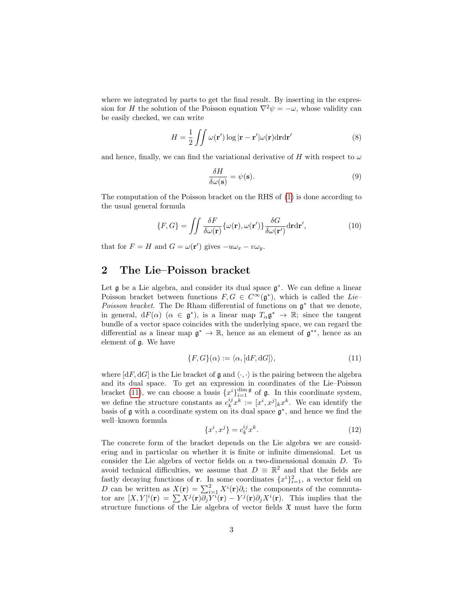where we integrated by parts to get the final result. By inserting in the expression for H the solution of the Poisson equation  $\nabla^2 \psi = -\omega$ , whose validity can be easily checked, we can write

$$
H = \frac{1}{2} \iint \omega(\mathbf{r}') \log |\mathbf{r} - \mathbf{r}'| \omega(\mathbf{r}) d\mathbf{r} d\mathbf{r}'
$$
 (8)

and hence, finally, we can find the variational derivative of H with respect to  $\omega$ 

$$
\frac{\delta H}{\delta \omega(\mathbf{s})} = \psi(\mathbf{s}).\tag{9}
$$

The computation of the Poisson bracket on the RHS of [\(1\)](#page-0-0) is done according to the usual general formula

<span id="page-3-0"></span>
$$
\{F, G\} = \iint \frac{\delta F}{\delta \omega(\mathbf{r})} \{\omega(\mathbf{r}), \omega(\mathbf{r'})\} \frac{\delta G}{\delta \omega(\mathbf{r'})} d\mathbf{r} d\mathbf{r'},\tag{10}
$$

that for  $F = H$  and  $G = \omega(\mathbf{r}')$  gives  $-u\omega_x - v\omega_y$ .

## 2 The Lie–Poisson bracket

<span id="page-3-1"></span>Let  $\mathfrak g$  be a Lie algebra, and consider its dual space  $\mathfrak g^*$ . We can define a linear Poisson bracket between functions  $F, G \in C^{\infty}(\mathfrak{g}^*)$ , which is called the Lie-Poisson bracket. The De Rham differential of functions on  $\mathfrak{g}^*$  that we denote, in general,  $dF(\alpha)$   $(\alpha \in \mathfrak{g}^*)$ , is a linear map  $T_{\alpha} \mathfrak{g}^* \to \mathbb{R}$ ; since the tangent bundle of a vector space coincides with the underlying space, we can regard the differential as a linear map  $\mathfrak{g}^* \to \mathbb{R}$ , hence as an element of  $\mathfrak{g}^{**}$ , hence as an element of g. We have

$$
\{F, G\}(\alpha) := \langle \alpha, [\mathrm{d}F, \mathrm{d}G] \rangle,\tag{11}
$$

where  $[dF, dG]$  is the Lie bracket of  $\mathfrak g$  and  $\langle \cdot, \cdot \rangle$  is the pairing between the algebra and its dual space. To get an expression in coordinates of the Lie–Poisson bracket [\(11\)](#page-2-0), we can choose a basis  $\{x^i\}_{i=1}^{\dim \mathfrak{g}}$  of  $\mathfrak{g}$ . In this coordinate system, we define the structure constants as  $c_k^{ij} x^k := [x^i, x^j]_k x^k$ . We can identify the basis of  $\mathfrak g$  with a coordinate system on its dual space  $\mathfrak g^*$ , and hence we find the well–known formula

$$
\{x^i, x^j\} = c_k^{ij} x^k. \tag{12}
$$

The concrete form of the bracket depends on the Lie algebra we are considering and in particular on whether it is finite or infinite dimensional. Let us consider the Lie algebra of vector fields on a two-dimensional domain D. To avoid technical difficulties, we assume that  $D \equiv \mathbb{R}^2$  and that the fields are fastly decaying functions of **r**. In some coordinates  $\{x^{i}\}_{i=1}^{2}$ , a vector field on D can be written as  $X(r) = \sum_{i=1}^{2} X^{i}(r) \partial_{i}$ ; the components of the commutator are  $[X,Y]^i(\mathbf{r}) = \sum X^j(\mathbf{r})\partial_j Y^i(\mathbf{r}) - Y^j(\mathbf{r})\partial_j X^i(\mathbf{r})$ . This implies that the structure functions of the Lie algebra of vector fields  $\mathfrak X$  must have the form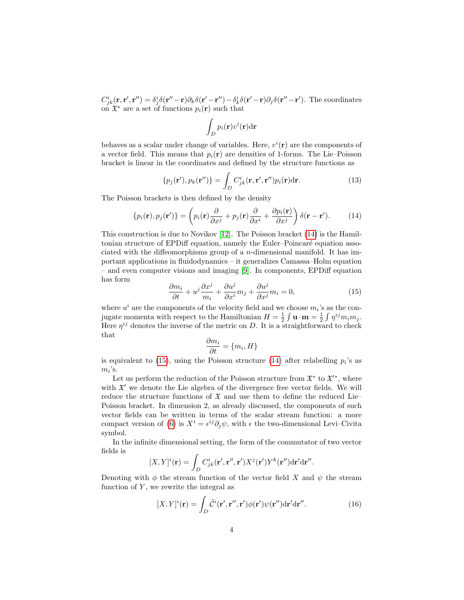$C^i_{jk}(\mathbf{r}, \mathbf{r}', \mathbf{r}'') = \delta^i_j \delta(\mathbf{r}'' - \mathbf{r}) \partial_k \delta(\mathbf{r}' - \mathbf{r}'') - \delta^i_k \delta(\mathbf{r}' - \mathbf{r}) \partial_j \delta(\mathbf{r}'' - \mathbf{r}').$  The coordinates on  $\mathfrak{X}^*$  are a set of functions  $p_i(\mathbf{r})$  such that

$$
\int_D p_i(\mathbf{r}) v^i(\mathbf{r}) \mathrm{d}\mathbf{r}
$$

behaves as a scalar under change of variables. Here,  $v^i(\mathbf{r})$  are the components of a vector field. This means that  $p_i(\mathbf{r})$  are densities of 1-forms. The Lie–Poisson bracket is linear in the coordinates and defined by the structure functions as

$$
\{p_j(\mathbf{r}'), p_k(\mathbf{r}'')\} = \int_D C^i_{jk}(\mathbf{r}, \mathbf{r}', \mathbf{r}'')p_i(\mathbf{r})d\mathbf{r}.
$$
 (13)

The Poisson brackets is then defined by the density

$$
\{p_i(\mathbf{r}), p_j(\mathbf{r}')\} = \left(p_i(\mathbf{r})\frac{\partial}{\partial x^j} + p_j(\mathbf{r})\frac{\partial}{\partial x^i} + \frac{\partial p_i(\mathbf{r})}{\partial x^j}\right)\delta(\mathbf{r} - \mathbf{r}').
$$
 (14)

This construction is due to Novikov [\[12\]](#page-10-1). The Poisson bracket [\(14\)](#page-3-0) is the Hamiltonian structure of EPDiff equation, namely the Euler–Poincaré equation associated with the diffeomorphisms group of a  $n$ -dimensional manifold. It has important applications in fluidodynamics – it generalizes Camassa–Holm equation – and even computer visions and imaging [\[9\]](#page-10-2). In components, EPDiff equation has form

$$
\frac{\partial m_i}{\partial t} + u^j \frac{\partial x^j}{m_i} + \frac{\partial u^j}{\partial x^i} m_j + \frac{\partial u^j}{\partial x^j} m_i = 0,
$$
\n(15)

where  $u^i$  are the components of the velocity field and we choose  $m_i$ 's as the conjugate momenta with respect to the Hamiltonian  $H = \frac{1}{2} \int \mathbf{u} \cdot \mathbf{m} = \frac{1}{2} \int \eta^{ij} m_i m_j$ . Here  $\eta^{ij}$  denotes the inverse of the metric on D. It is a straightforward to check that

$$
\frac{\partial m_i}{\partial t} = \{m_i, H\}
$$

is equivalent to  $(15)$ , using the Poisson structure  $(14)$  after relabelling  $p_i$ 's as  $m_i$ 's.

Let us perform the reduction of the Poisson structure from  $\mathfrak{X}^*$  to  $\mathfrak{X}'^*$ , where with  $\mathfrak{X}'$  we denote the Lie algebra of the divergence free vector fields. We will reduce the structure functions of  $\mathfrak X$  and use them to define the reduced Lie– Poisson bracket. In dimension 2, as already discussed, the components of such vector fields can be written in terms of the scalar stream function: a more compact version of [\(6\)](#page-1-1) is  $X^i = \epsilon^{ij} \partial_j \psi$ , with  $\epsilon$  the two-dimensional Levi–Civita symbol.

In the infinite dimensional setting, the form of the commutator of two vector fields is

$$
[X,Y]^i(\mathbf{r}) = \int_D C^i_{jk}(\mathbf{r}',\mathbf{r}'',\mathbf{r}')X^j(\mathbf{r}')Y^k(\mathbf{r}'')d\mathbf{r}'d\mathbf{r}''.
$$

Denoting with  $\phi$  the stream function of the vector field X and  $\psi$  the stream function of  $Y$ , we rewrite the integral as

$$
[X,Y]^i(\mathbf{r}) = \int_D \tilde{\mathcal{C}}^i(\mathbf{r}',\mathbf{r}'',\mathbf{r}')\phi(\mathbf{r}')\psi(\mathbf{r}'')d\mathbf{r}'d\mathbf{r}''.
$$
 (16)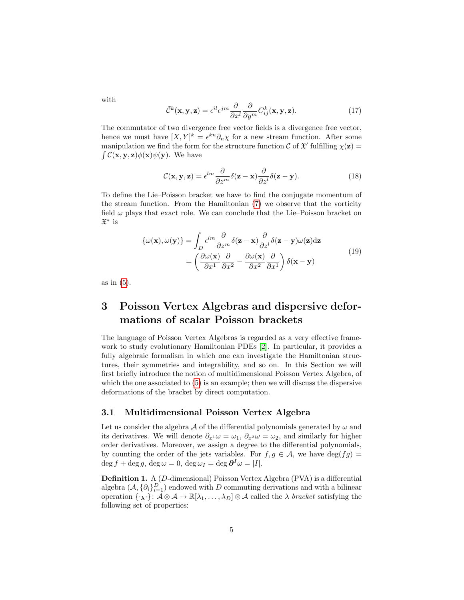with

$$
\tilde{\mathcal{C}}^k(\mathbf{x}, \mathbf{y}, \mathbf{z}) = \epsilon^{il} \epsilon^{jm} \frac{\partial}{\partial x^l} \frac{\partial}{\partial y^m} C^k_{ij}(\mathbf{x}, \mathbf{y}, \mathbf{z}). \tag{17}
$$

The commutator of two divergence free vector fields is a divergence free vector, hence we must have  $[X, Y]^k = \epsilon^{kn} \partial_n \chi$  for a new stream function. After some manipulation we find the form for the structure function  $\mathcal C$  of  $\mathfrak X'$  fulfilling  $\chi(\mathbf z)$  =  $\int \mathcal{C}(\mathbf{x}, \mathbf{y}, \mathbf{z}) \phi(\mathbf{x}) \psi(\mathbf{y})$ . We have

$$
\mathcal{C}(\mathbf{x}, \mathbf{y}, \mathbf{z}) = \epsilon^{lm} \frac{\partial}{\partial z^m} \delta(\mathbf{z} - \mathbf{x}) \frac{\partial}{\partial z^l} \delta(\mathbf{z} - \mathbf{y}).
$$
 (18)

To define the Lie–Poisson bracket we have to find the conjugate momentum of the stream function. From the Hamiltonian [\(7\)](#page-1-2) we observe that the vorticity field  $\omega$  plays that exact role. We can conclude that the Lie–Poisson bracket on X ∗ is

<span id="page-5-1"></span>
$$
\{\omega(\mathbf{x}), \omega(\mathbf{y})\} = \int_{D} \epsilon^{lm} \frac{\partial}{\partial z^m} \delta(\mathbf{z} - \mathbf{x}) \frac{\partial}{\partial z^l} \delta(\mathbf{z} - \mathbf{y}) \omega(\mathbf{z}) d\mathbf{z}
$$

$$
= \left(\frac{\partial \omega(\mathbf{x})}{\partial x^1} \frac{\partial}{\partial x^2} - \frac{\partial \omega(\mathbf{x})}{\partial x^2} \frac{\partial}{\partial x^1}\right) \delta(\mathbf{x} - \mathbf{y})
$$
(19)

as in [\(5\)](#page-1-3).

# 3 Poisson Vertex Algebras and dispersive deformations of scalar Poisson brackets

The language of Poisson Vertex Algebras is regarded as a very effective framework to study evolutionary Hamiltonian PDEs [\[2\]](#page-9-1). In particular, it provides a fully algebraic formalism in which one can investigate the Hamiltonian structures, their symmetries and integrability, and so on. In this Section we will first briefly introduce the notion of multidimensional Poisson Vertex Algebra, of which the one associated to [\(5\)](#page-1-3) is an example; then we will discuss the dispersive deformations of the bracket by direct computation.

#### <span id="page-5-0"></span>3.1 Multidimensional Poisson Vertex Algebra

Let us consider the algebra  $A$  of the differential polynomials generated by  $\omega$  and its derivatives. We will denote  $\partial_{x^1} \omega = \omega_1$ ,  $\partial_{x^2} \omega = \omega_2$ , and similarly for higher order derivatives. Moreover, we assign a degree to the differential polynomials, by counting the order of the jets variables. For  $f, g \in \mathcal{A}$ , we have  $\deg(fg) =$  $\deg f + \deg g$ ,  $\deg \omega = 0$ ,  $\deg \omega_I = \deg \partial^I \omega = |I|.$ 

<span id="page-5-2"></span>Definition 1. A (D-dimensional) Poisson Vertex Algebra (PVA) is a differential algebra  $(\mathcal{A}, \{\partial_i\}_{i=1}^D)$  endowed with D commuting derivations and with a bilinear operation  $\{\cdot_\lambda\} \colon \mathcal{A} \otimes \mathcal{A} \to \mathbb{R}[\lambda_1,\ldots,\lambda_D] \otimes \mathcal{A}$  called the  $\lambda$  bracket satisfying the following set of properties: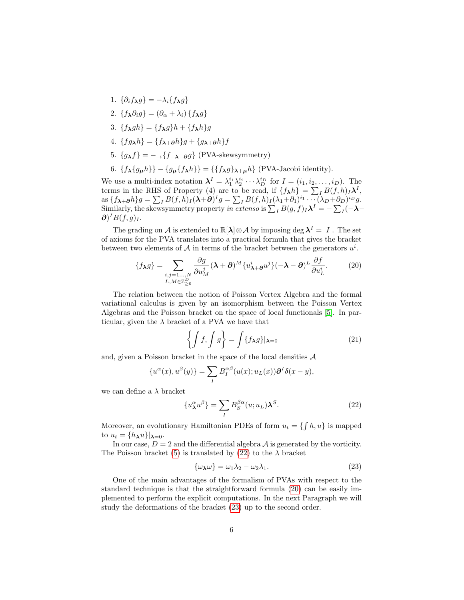- 1.  $\{\partial_i f_{\lambda} g\} = -\lambda_i \{f_{\lambda} g\}$
- 2. { $f_{\lambda} \partial_i q$ } =  $(\partial_{\alpha} + \lambda_i)$  { $f_{\lambda} q$ }
- <span id="page-6-0"></span>3.  ${f_{\lambda}gh} = {f_{\lambda}g}h + {f_{\lambda}h}g$
- 4.  ${fg_{\lambda}}h$  =  ${f_{\lambda+\partial}}h$   $g$  +  ${g_{\lambda+\partial}}h$   $f$
- 5.  ${g_{\lambda}f} = -\frac{f_{-\lambda-\partial}g}{\Phi}$  (PVA-skewsymmetry)
- 6.  $\{f_{\lambda}\{g_{\mu}h\}\}-\{g_{\mu}\{f_{\lambda}h\}\} = \{\{f_{\lambda}g\}_{\lambda+\mu}h\}$  (PVA-Jacobi identity).

We use a multi-index notation  $\lambda^I = \lambda_1^{i_1} \lambda_2^{i_2} \cdots \lambda_D^{i_D}$  for  $I = (i_1, i_2, \ldots, i_D)$ . The terms in the RHS of Property (4) are to be read, if  $\{f_{\lambda}h\} = \sum_{I} B(f,h) \Lambda^{I}$ , as  $\{f_{\boldsymbol{\lambda}+\boldsymbol{\partial}}h\}g = \sum_{I} B(f,h)_{I} (\boldsymbol{\lambda}+\boldsymbol{\partial})^{I}g = \sum_{I} B(f,h)_{I} (\lambda_{1}+\partial_{1})^{i_{1}} \cdots (\lambda_{D}+\partial_{D})^{i_{D}}g.$ Similarly, the skewsymmetry property in extenso is  $\sum_{I} B(g, f)_{I} \lambda^{I} = -\sum_{I} (-\lambda \partial$ )<sup>I</sup> $B(f,g)$ <sub>I</sub>.

<span id="page-6-1"></span>The grading on A is extended to  $\mathbb{R}[\lambda] \otimes A$  by imposing deg  $\lambda^I = |I|$ . The set of axioms for the PVA translates into a practical formula that gives the bracket between two elements of  $A$  in terms of the bracket between the generators  $u^i$ .

$$
\{f_{\lambda}g\} = \sum_{\substack{i,j=1...,N\\L,M\in\mathbb{Z}_{\geq 0}^D}} \frac{\partial g}{\partial u_M^j} (\lambda + \partial)^M \{u_{\lambda+\partial}^i u^j\} (-\lambda - \partial)^L \frac{\partial f}{\partial u_L^i}.
$$
 (20)

The relation between the notion of Poisson Vertex Algebra and the formal variational calculus is given by an isomorphism between the Poisson Vertex Algebras and the Poisson bracket on the space of local functionals [\[5\]](#page-10-3). In particular, given the  $\lambda$  bracket of a PVA we have that

$$
\left\{ \int f, \int g \right\} = \int \{ f_{\lambda} g \} |_{\lambda = 0} \tag{21}
$$

and, given a Poisson bracket in the space of the local densities  $A$ 

$$
\{u^{\alpha}(x),u^{\beta}(y)\}=\sum_{I}B_{I}^{\alpha\beta}(u(x);u_{L}(x))\partial^{I}\delta(x-y),
$$

we can define a  $\lambda$  bracket

$$
\{u_{\lambda}^{\alpha}u^{\beta}\} = \sum_{I} B_{S}^{\beta\alpha}(u;u_{L})\lambda^{S}.
$$
 (22)

Moreover, an evolutionary Hamiltonian PDEs of form  $u_t = \{ \int h, u \}$  is mapped to  $u_t = \{h_\lambda u\} |_{\lambda = 0}$ .

In our case,  $D = 2$  and the differential algebra A is generated by the vorticity. The Poisson bracket [\(5\)](#page-1-3) is translated by [\(22\)](#page-5-0) to the  $\lambda$  bracket

$$
\{\omega_{\lambda}\omega\} = \omega_1\lambda_2 - \omega_2\lambda_1. \tag{23}
$$

<span id="page-6-2"></span>One of the main advantages of the formalism of PVAs with respect to the standard technique is that the straightforward formula [\(20\)](#page-5-1) can be easily implemented to perform the explicit computations. In the next Paragraph we will study the deformations of the bracket [\(23\)](#page-5-2) up to the second order.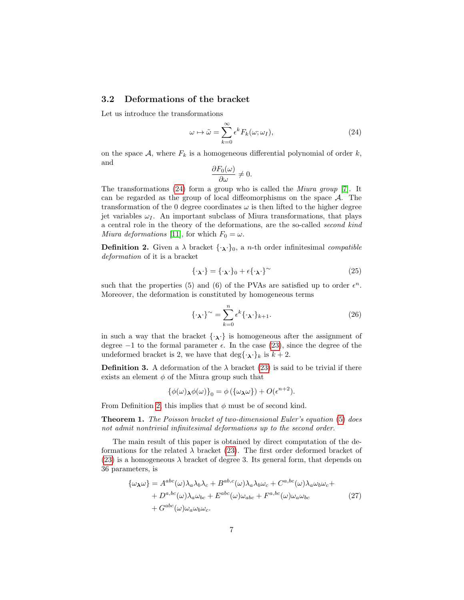### 3.2 Deformations of the bracket

Let us introduce the transformations

$$
\omega \mapsto \tilde{\omega} = \sum_{k=0}^{\infty} \epsilon^k F_k(\omega; \omega_I), \qquad (24)
$$

on the space  $A$ , where  $F_k$  is a homogeneous differential polynomial of order k, and

$$
\frac{\partial F_0(\omega)}{\partial \omega} \neq 0.
$$

The transformations [\(24\)](#page-6-0) form a group who is called the Miura group [\[7\]](#page-10-5). It can be regarded as the group of local diffeomorphisms on the space  $A$ . The transformation of the 0 degree coordinates  $\omega$  is then lifted to the higher degree jet variables  $\omega_I$ . An important subclass of Miura transformations, that plays a central role in the theory of the deformations, are the so-called second kind Miura deformations [\[11\]](#page-10-6), for which  $F_0 = \omega$ .

**Definition 2.** Given a  $\lambda$  bracket  $\{\cdot_{\lambda}\cdot\}_0$ , a *n*-th order infinitesimal *compatible* deformation of it is a bracket

$$
\{\cdot_{\lambda}\cdot\} = \{\cdot_{\lambda}\cdot\}_0 + \epsilon\{\cdot_{\lambda}\cdot\}^\sim\tag{25}
$$

such that the properties (5) and (6) of the PVAs are satisfied up to order  $\epsilon^n$ . Moreover, the deformation is constituted by homogeneous terms

<span id="page-7-0"></span>
$$
\{\cdot_{\lambda}\cdot\}^{\sim} = \sum_{k=0}^{n} \epsilon^{k} \{\cdot_{\lambda}\cdot\}_{k+1}.
$$
 (26)

in such a way that the bracket  $\{\cdot,\cdot\}$  is homogeneous after the assignment of degree  $-1$  to the formal parameter  $\epsilon$ . In the case [\(23\)](#page-5-2), since the degree of the undeformed bracket is 2, we have that  $\deg{\{\cdot_\lambda\cdot\}}_k$  is  $k+2$ .

**Definition 3.** A deformation of the  $\lambda$  bracket [\(23\)](#page-5-2) is said to be trivial if there exists an element  $\phi$  of the Miura group such that

$$
\{\phi(\omega)\mathbf{v}(\omega)\}_0 = \phi(\{\omega\mathbf{v}\}\mathbf{v}) + O(\epsilon^{n+2}).
$$

From Definition [2,](#page-6-1) this implies that  $\phi$  must be of second kind.

**Theorem 1.** The Poisson bracket of two-dimensional Euler's equation [\(5\)](#page-1-3) does not admit nontrivial infinitesimal deformations up to the second order.

The main result of this paper is obtained by direct computation of the deformations for the related  $\lambda$  bracket [\(23\)](#page-5-2). The first order deformed bracket of [\(23\)](#page-5-2) is a homogeneous  $\lambda$  bracket of degree 3. Its general form, that depends on 36 parameters, is

$$
\{\omega_{\lambda}\omega\} = A^{abc}(\omega)\lambda_a\lambda_b\lambda_c + B^{ab,c}(\omega)\lambda_a\lambda_b\omega_c + C^{a,bc}(\omega)\lambda_a\omega_b\omega_c + D^{a,bc}(\omega)\lambda_a\omega_{bc} + E^{abc}(\omega)\omega_{abc} + F^{a,bc}(\omega)\omega_a\omega_{bc} + G^{abc}(\omega)\omega_a\omega_b\omega_c.
$$
\n(27)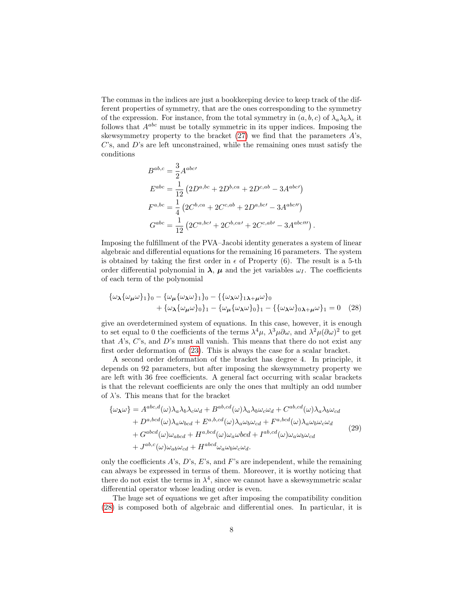The commas in the indices are just a bookkeeping device to keep track of the different properties of symmetry, that are the ones corresponding to the symmetry of the expression. For instance, from the total symmetry in  $(a, b, c)$  of  $\lambda_a \lambda_b \lambda_c$  it follows that  $A^{abc}$  must be totally symmetric in its upper indices. Imposing the skewsymmetry property to the bracket  $(27)$  we find that the parameters  $A$ 's,  $C$ 's, and  $D$ 's are left unconstrained, while the remaining ones must satisfy the conditions

$$
B^{ab,c} = \frac{3}{2} A^{abc'}
$$
  
\n
$$
E^{abc} = \frac{1}{12} (2D^{a,bc} + 2D^{b,ca} + 2D^{c,ab} - 3A^{abc'})
$$
  
\n
$$
F^{a,bc} = \frac{1}{4} (2C^{b,ca} + 2C^{c,ab} + 2D^{a,bc'} - 3A^{abc''})
$$
  
\n
$$
G^{abc} = \frac{1}{12} (2C^{a,bc'} + 2C^{b,ca'} + 2C^{c,ab'} - 3A^{abc'''})
$$

.

Imposing the fulfillment of the PVA–Jacobi identity generates a system of linear algebraic and differential equations for the remaining 16 parameters. The system is obtained by taking the first order in  $\epsilon$  of Property (6). The result is a 5-th order differential polynomial in  $\lambda$ ,  $\mu$  and the jet variables  $\omega_I$ . The coefficients of each term of the polynomial

$$
\{\omega_{\lambda}\{\omega_{\mu}\omega\}_{1}\}_{0} - \{\omega_{\mu}\{\omega_{\lambda}\omega\}_{1}\}_{0} - \{\{\omega_{\lambda}\omega\}_{1}\}_{\lambda+\mu}\omega\}_{0}
$$
  
+ 
$$
\{\omega_{\lambda}\{\omega_{\mu}\omega\}_{0}\}_{1} - \{\omega_{\mu}\{\omega_{\lambda}\omega\}_{0}\}_{1} - \{\{\omega_{\lambda}\omega\}_{0}\}_{\lambda+\mu}\omega\}_{1} = 0
$$
 (28)

give an overdetermined system of equations. In this case, however, it is enough to set equal to 0 the coefficients of the terms  $\lambda^4\mu$ ,  $\lambda^3\mu\partial\omega$ , and  $\lambda^2\mu(\partial\omega)^2$  to get that  $A$ 's,  $C$ 's, and  $D$ 's must all vanish. This means that there do not exist any first order deformation of [\(23\)](#page-5-2). This is always the case for a scalar bracket.

A second order deformation of the bracket has degree 4. In principle, it depends on 92 parameters, but after imposing the skewsymmetry property we are left with 36 free coefficients. A general fact occurring with scalar brackets is that the relevant coefficients are only the ones that multiply an odd number of  $\lambda$ 's. This means that for the bracket

$$
\{\omega_{\lambda}\omega\} = A^{abc,d}(\omega)\lambda_a\lambda_b\lambda_c\omega_d + B^{ab,cd}(\omega)\lambda_a\lambda_b\omega_c\omega_d + C^{ab,cd}(\omega)\lambda_a\lambda_b\omega_{cd} + D^{a,bcd}(\omega)\lambda_a\omega_{bcd} + E^{a,b,cd}(\omega)\lambda_a\omega_b\omega_{cd} + F^{a,bcd}(\omega)\lambda_a\omega_b\omega_c\omega_d + G^{abcd}(\omega)\omega_{abcd} + H^{a,bcd}(\omega)\omega_a\omega bcd + I^{ab,cd}(\omega)\omega_a\omega_b\omega_{cd} + J^{ab,c}(\omega)\omega_{ab}\omega_{cd} + H^{abcd}\omega_a\omega_b\omega_c\omega_d.
$$
\n(29)

only the coefficients  $A$ 's,  $D$ 's,  $E$ 's, and  $F$ 's are independent, while the remaining can always be expressed in terms of them. Moreover, it is worthy noticing that there do not exist the terms in  $\lambda^4$ , since we cannot have a skewsymmetric scalar differential operator whose leading order is even.

The huge set of equations we get after imposing the compatibility condition [\(28\)](#page-7-0) is composed both of algebraic and differential ones. In particular, it is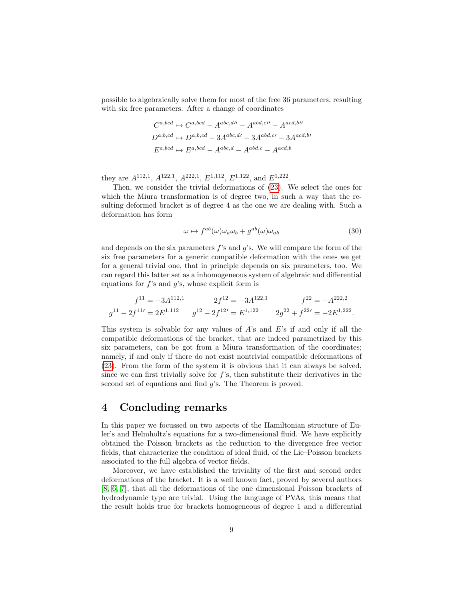possible to algebraically solve them for most of the free 36 parameters, resulting with six free parameters. After a change of coordinates

$$
C^{a,bcd} \rightarrow C^{a,bcd} - A^{abc,dl'} - A^{abd,c''} - A^{acd,b''}
$$

$$
D^{a,b,cd} \rightarrow D^{a,b,cd} - 3A^{abc,d'} - 3A^{abd,c'} - 3A^{acd,b'} - E^{a,bcd} \rightarrow E^{a,bcd} - A^{abc,d} - A^{abd,c} - A^{acd,b}
$$

they are  $A^{112,1}$ ,  $A^{122,1}$ ,  $A^{222,1}$ ,  $E^{1,112}$ ,  $E^{1,122}$ , and  $E^{1,222}$ .

Then, we consider the trivial deformations of [\(23\)](#page-5-2). We select the ones for which the Miura transformation is of degree two, in such a way that the resulting deformed bracket is of degree 4 as the one we are dealing with. Such a deformation has form

$$
\omega \mapsto f^{ab}(\omega)\omega_a \omega_b + g^{ab}(\omega)\omega_{ab} \tag{30}
$$

and depends on the six parameters  $f$ 's and  $g$ 's. We will compare the form of the six free parameters for a generic compatible deformation with the ones we get for a general trivial one, that in principle depends on six parameters, too. We can regard this latter set as a inhomogeneous system of algebraic and differential equations for  $f$ 's and  $g$ 's, whose explicit form is

$$
f^{11} = -3A^{112,1} \t 2f^{12} = -3A^{122,1} \t f^{22} = -A^{222,2}
$$
  

$$
g^{11} - 2f^{11'} = 2E^{1,112} \t g^{12} - 2f^{12'} = E^{1,122} \t 2g^{22} + f^{22'} = -2E^{1,222}.
$$

This system is solvable for any values of  $A$ 's and  $E$ 's if and only if all the compatible deformations of the bracket, that are indeed parametrized by this six parameters, can be got from a Miura transformation of the coordinates; namely, if and only if there do not exist nontrivial compatible deformations of [\(23\)](#page-5-2). From the form of the system it is obvious that it can always be solved, since we can first trivially solve for  $f$ 's, then substitute their derivatives in the second set of equations and find g's. The Theorem is proved.

# <span id="page-9-0"></span>4 Concluding remarks

<span id="page-9-1"></span>In this paper we focussed on two aspects of the Hamiltonian structure of Euler's and Helmholtz's equations for a two-dimensional fluid. We have explicitly obtained the Poisson brackets as the reduction to the divergence free vector fields, that characterize the condition of ideal fluid, of the Lie–Poisson brackets associated to the full algebra of vector fields.

<span id="page-9-3"></span><span id="page-9-2"></span>Moreover, we have established the triviality of the first and second order deformations of the bracket. It is a well known fact, proved by several authors [\[8,](#page-10-7) [6,](#page-10-8) [7\]](#page-10-5), that all the deformations of the one dimensional Poisson brackets of hydrodynamic type are trivial. Using the language of PVAs, this means that the result holds true for brackets homogeneous of degree 1 and a differential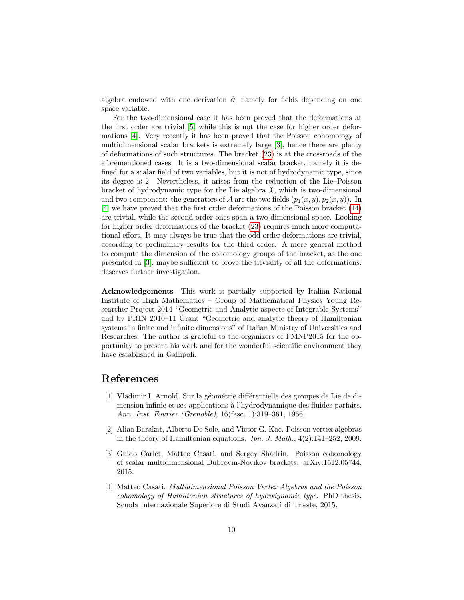<span id="page-10-3"></span>algebra endowed with one derivation  $\partial$ , namely for fields depending on one space variable.

<span id="page-10-8"></span><span id="page-10-7"></span><span id="page-10-5"></span>For the two-dimensional case it has been proved that the deformations at the first order are trivial [\[5\]](#page-10-3) while this is not the case for higher order deformations [\[4\]](#page-9-2). Very recently it has been proved that the Poisson cohomology of multidimensional scalar brackets is extremely large [\[3\]](#page-9-3), hence there are plenty of deformations of such structures. The bracket [\(23\)](#page-5-2) is at the crossroads of the aforementioned cases. It is a two-dimensional scalar bracket, namely it is defined for a scalar field of two variables, but it is not of hydrodynamic type, since its degree is 2. Nevertheless, it arises from the reduction of the Lie–Poisson bracket of hydrodynamic type for the Lie algebra  $\mathfrak{X}$ , which is two-dimensional and two-component: the generators of A are the two fields  $(p_1(x, y), p_2(x, y))$ . In [\[4\]](#page-9-2) we have proved that the first order deformations of the Poisson bracket [\(14\)](#page-3-0) are trivial, while the second order ones span a two-dimensional space. Looking for higher order deformations of the bracket [\(23\)](#page-5-2) requires much more computational effort. It may always be true that the odd order deformations are trivial, according to preliminary results for the third order. A more general method to compute the dimension of the cohomology groups of the bracket, as the one presented in [\[3\]](#page-9-3), maybe sufficient to prove the triviality of all the deformations, deserves further investigation.

<span id="page-10-6"></span><span id="page-10-4"></span><span id="page-10-2"></span><span id="page-10-1"></span><span id="page-10-0"></span>Acknowledgements This work is partially supported by Italian National Institute of High Mathematics – Group of Mathematical Physics Young Researcher Project 2014 "Geometric and Analytic aspects of Integrable Systems" and by PRIN 2010–11 Grant "Geometric and analytic theory of Hamiltonian systems in finite and infinite dimensions" of Italian Ministry of Universities and Researches. The author is grateful to the organizers of PMNP2015 for the opportunity to present his work and for the wonderful scientific environment they have established in Gallipoli.

# References

- [1] Vladimir I. Arnold. Sur la géométrie différentielle des groupes de Lie de dimension infinie et ses applications à l'hydrodynamique des fluides parfaits. Ann. Inst. Fourier (Grenoble), 16(fasc. 1):319–361, 1966.
- [2] Aliaa Barakat, Alberto De Sole, and Victor G. Kac. Poisson vertex algebras in the theory of Hamiltonian equations.  $Jpn. J. Math., 4(2):141-252, 2009.$
- [3] Guido Carlet, Matteo Casati, and Sergey Shadrin. Poisson cohomology of scalar multidimensional Dubrovin-Novikov brackets. arXiv:1512.05744, 2015.
- [4] Matteo Casati. Multidimensional Poisson Vertex Algebras and the Poisson cohomology of Hamiltonian structures of hydrodynamic type. PhD thesis, Scuola Internazionale Superiore di Studi Avanzati di Trieste, 2015.